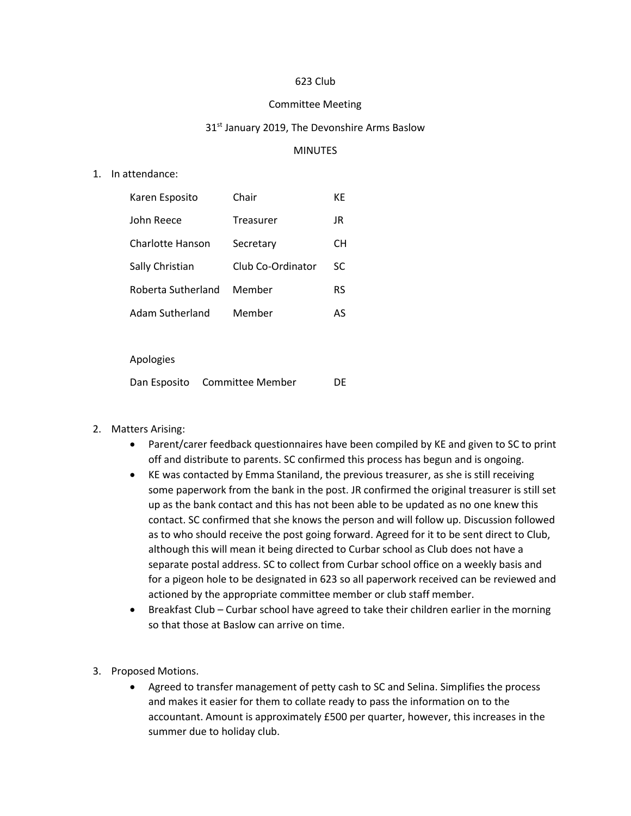# 623 Club

### Committee Meeting

### 31<sup>st</sup> January 2019, The Devonshire Arms Baslow

### MINUTES

### 1. In attendance:

| Karen Esposito     | Chair             | КE |
|--------------------|-------------------|----|
| John Reece         | Treasurer         | JR |
| Charlotte Hanson   | Secretary         | CН |
| Sally Christian    | Club Co-Ordinator | SC |
| Roberta Sutherland | Member            | RS |
| Adam Sutherland    | Member            | AS |

### Apologies

Dan Esposito Committee Member DE

## 2. Matters Arising:

- Parent/carer feedback questionnaires have been compiled by KE and given to SC to print off and distribute to parents. SC confirmed this process has begun and is ongoing.
- KE was contacted by Emma Staniland, the previous treasurer, as she is still receiving some paperwork from the bank in the post. JR confirmed the original treasurer is still set up as the bank contact and this has not been able to be updated as no one knew this contact. SC confirmed that she knows the person and will follow up. Discussion followed as to who should receive the post going forward. Agreed for it to be sent direct to Club, although this will mean it being directed to Curbar school as Club does not have a separate postal address. SC to collect from Curbar school office on a weekly basis and for a pigeon hole to be designated in 623 so all paperwork received can be reviewed and actioned by the appropriate committee member or club staff member.
- Breakfast Club Curbar school have agreed to take their children earlier in the morning so that those at Baslow can arrive on time.
- 3. Proposed Motions.
	- Agreed to transfer management of petty cash to SC and Selina. Simplifies the process and makes it easier for them to collate ready to pass the information on to the accountant. Amount is approximately £500 per quarter, however, this increases in the summer due to holiday club.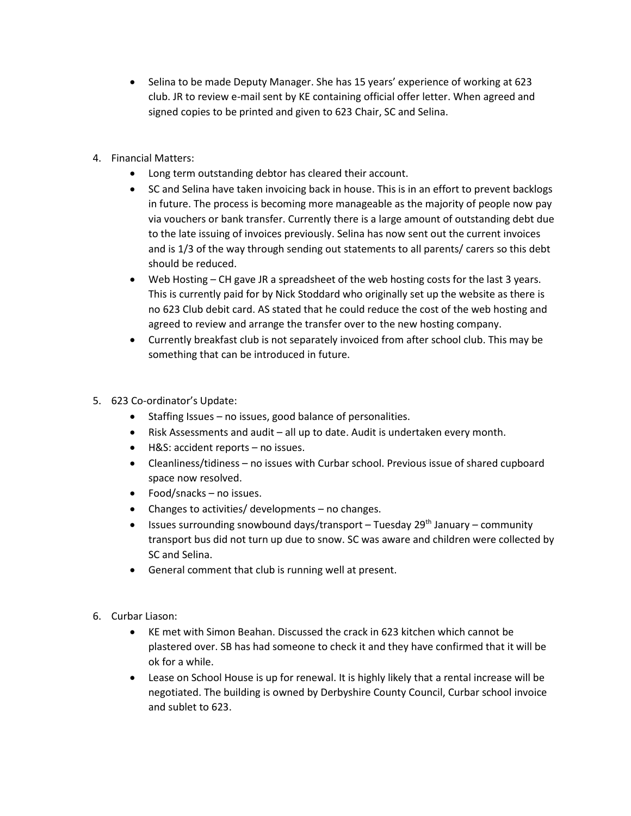- Selina to be made Deputy Manager. She has 15 years' experience of working at 623 club. JR to review e-mail sent by KE containing official offer letter. When agreed and signed copies to be printed and given to 623 Chair, SC and Selina.
- 4. Financial Matters:
	- Long term outstanding debtor has cleared their account.
	- SC and Selina have taken invoicing back in house. This is in an effort to prevent backlogs in future. The process is becoming more manageable as the majority of people now pay via vouchers or bank transfer. Currently there is a large amount of outstanding debt due to the late issuing of invoices previously. Selina has now sent out the current invoices and is 1/3 of the way through sending out statements to all parents/ carers so this debt should be reduced.
	- Web Hosting CH gave JR a spreadsheet of the web hosting costs for the last 3 years. This is currently paid for by Nick Stoddard who originally set up the website as there is no 623 Club debit card. AS stated that he could reduce the cost of the web hosting and agreed to review and arrange the transfer over to the new hosting company.
	- Currently breakfast club is not separately invoiced from after school club. This may be something that can be introduced in future.
- 5. 623 Co-ordinator's Update:
	- Staffing Issues no issues, good balance of personalities.
	- Risk Assessments and audit all up to date. Audit is undertaken every month.
	- H&S: accident reports no issues.
	- Cleanliness/tidiness no issues with Curbar school. Previous issue of shared cupboard space now resolved.
	- Food/snacks no issues.
	- Changes to activities/ developments no changes.
	- Issues surrounding snowbound days/transport Tuesday 29<sup>th</sup> January community transport bus did not turn up due to snow. SC was aware and children were collected by SC and Selina.
	- General comment that club is running well at present.
- 6. Curbar Liason:
	- KE met with Simon Beahan. Discussed the crack in 623 kitchen which cannot be plastered over. SB has had someone to check it and they have confirmed that it will be ok for a while.
	- Lease on School House is up for renewal. It is highly likely that a rental increase will be negotiated. The building is owned by Derbyshire County Council, Curbar school invoice and sublet to 623.